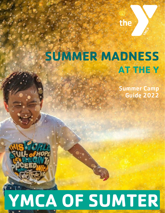

### **AT THE Y SUMMER MADNESS**

Summer Camp Guide 2022

# **YMCA OF SUMTER**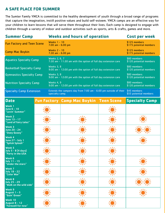#### **A SAFE PLACE FOR SUMMER**

The Sumter Family YMCA is committed to the healthy development of youth through a broad range of programs that capture the imagination, instill positive values and build self-esteem. YMCA camps are an effective way for your children to learn lessons that will serve them throughout their lives. Each camp is designed to engage with children through a variety of indoor and outdoor activities such as sports, arts & crafts, games and more.

| <b>Summer Camp</b>                | <b>Weeks and hours of operation</b>                                                   | Cost per week                            |
|-----------------------------------|---------------------------------------------------------------------------------------|------------------------------------------|
| <b>Fun Factory and Teen Scene</b> | Weeks 1 - 10<br>$7:00$ am - $6:00$ pm                                                 | \$125 members<br>\$175 potential members |
| <b>Camp Mac Boykin</b>            | <b>Weeks 2 - 10</b><br>$7:30$ am - $6:00$ pm                                          | \$125 members<br>\$175 potential members |
| <b>Aquatics Specialty Camp</b>    | Weeks 2, 6, 7<br>$7:30$ am - $11:30$ am with the option of full day extension care    | \$80 members<br>\$120 potential members  |
| <b>Basketball Specialty Camp</b>  | Weeks 3, 8<br>9:00 am - 12:00 pm with the option of full day extension care           | \$80 members<br>\$120 potential members  |
| <b>Gymnastics Specialty Camp</b>  | Weeks 3, 8<br>9:00 am - 12:00 pm with the option of full day extension care           | \$80 members<br>\$120 potential members  |
| <b>Nutrition Specialty Camp</b>   | Weeks 4, 9<br>9:00 am - 12:00 pm with the option of full day extension care           | \$80 members<br>\$120 potential members  |
| <b>Specialty Camp Extension</b>   | Extends the campers day from $7:00$ am $-6:00$ pm outside of their<br>specialty camp. | \$45 members<br>\$55 potential members   |

| <b>Date</b>                                              |     | <b>Fun Factory Camp Mac Boykin Teen Scene</b> | <b>Specialty Camp</b> |
|----------------------------------------------------------|-----|-----------------------------------------------|-----------------------|
| Week 1<br>June 6 - 10<br>"Lovin' Summer"                 |     |                                               |                       |
| Week 2<br>June 13 - 17<br>"Land of fairy tales"          |     | $\sqrt{17}$                                   | ヽlノ                   |
| Week 3<br>June 20 - 24<br>"Ooey Gooey"                   | ヽ╹ノ |                                               | $\sqrt{17}$           |
| Week 4<br>June 27 - July 1<br>"Splish Splash"            |     |                                               |                       |
| Week 5<br>July 5 - 8 (4 days)<br>"Party in the USA       |     |                                               |                       |
| Week 6<br>July 11 - 15<br>"Under the stars"              |     |                                               |                       |
| Week 7<br><b>July 18 - 22</b><br>"Color War"             |     |                                               |                       |
| Week 8<br><b>July 25 - 29</b><br>"Walk on the wild side" |     |                                               |                       |
| <b>Week 9</b><br>August $1 - 5$<br>"Goin' Green"         |     |                                               |                       |
| Week 10<br><b>August 8 - 12</b><br>"Farewell for now"    |     |                                               |                       |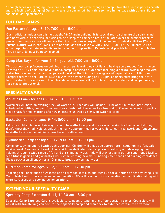Although times are changing, there are some things that never change at camp… like the friendships we cherish and the feeling of belonging! Our ten weeks of summer will be a time to have fun, engage with other children and make lasting memories.

#### **FULL DAY CAMPS**

#### Fun Factory for ages 3-10, 7:00 am - 6:00 pm

Our traditional indoor camp is held at the YMCA main building. It is specialized to stimulate the spirit, mind and body with fun academic activities to help keep the camper's brain stimulated over the summer break to prevent learning loss. We will engage the kids in various energizing, independent physical activities (Yoga, Zumba, Nature Walks etc.). Masks are optional and they must WEAR CLOSED-TOE SHOES. Children will be encouraged to maintain social distancing when in group setting. Parents must provide lunch for their children. Three year olds must be potty-trained.

#### Camp Mac Boykin for your 7 -14 year old, 7:30 am - 6:00 pm

This outdoor camp focuses on building friendships, learning new skills and having some rugged fun in the sun. Located at 6425 Camp Mac Boykin Road, camp is nestled on 50 acres including a natural swimming area with water features and activities. Campers will meet at the Y in the lower gym and depart at a strict 8:30 am. Campers return to the Park at 4:30 pm with the day concluding at 6:00 pm. Campers must bring their own lunch, water bottle and wear closed toe shoes. Measures will be in place to ensure staff and camper safety; face masks are optional.

#### **SPECIALTY CAMPS**

#### Aquatics Camp for ages 5-14, 7:30 - 11:30 am

Swimmers will have an exciting week of water fun. Each day will include – 1 hr of swim lesson instruction, scheduled activities, competitions, outdoor splash pad time as well as free swim. Please make sure to pack a small snack for mid-morning after swim lessons as well as plenty of water to drink.

#### Basketball Camp for ages 9-14, 9:00 am - 12:00 pm

Let your children bounce their way through basketball camp and discover a passion for the game that they didn't know they had. Help us unlock the many opportunities for your child to learn teamwork and fundamental basketball skills while building character and self-esteem.

#### Gymnastics Camp for ages 6-12, 9:00 am - 12:00 pm

Come jump, swing and roll with us this summer! Children will enjoy age appropriate instruction in a fun, safe environment. Campers will work closely with our dedicated staff exploring creativity and developing new talents through a wide range of fun and enriching activities. Kids will stay active in our air conditioned facility with fitness games and gymnastics drills while learning new skills, making new friends and building confidence. Please pack a small snack for a 10-minute break between activities.

#### Nutrition Camp for ages 6-12, 9:00 am - 12:00 pm

Teaching the importance of wellness at an early age sets kids and teens up for a lifetime of healthy living. YFIT Youth Nutrition focuses on exercise and nutrition. We will teach nutrition education and application along with exercise classes and cooking demonstrations.

#### **EXTEND YOUR SPECIALTY CAMP**

#### Specialty Camp Extension 5-14, 11:30 am - 6:00 pm

Specialty Camp Extended Care is available to campers attending one of our specialty camps. Counselors will assist with transferring campers to their specialty camp and then back to extended care in the afternoon.